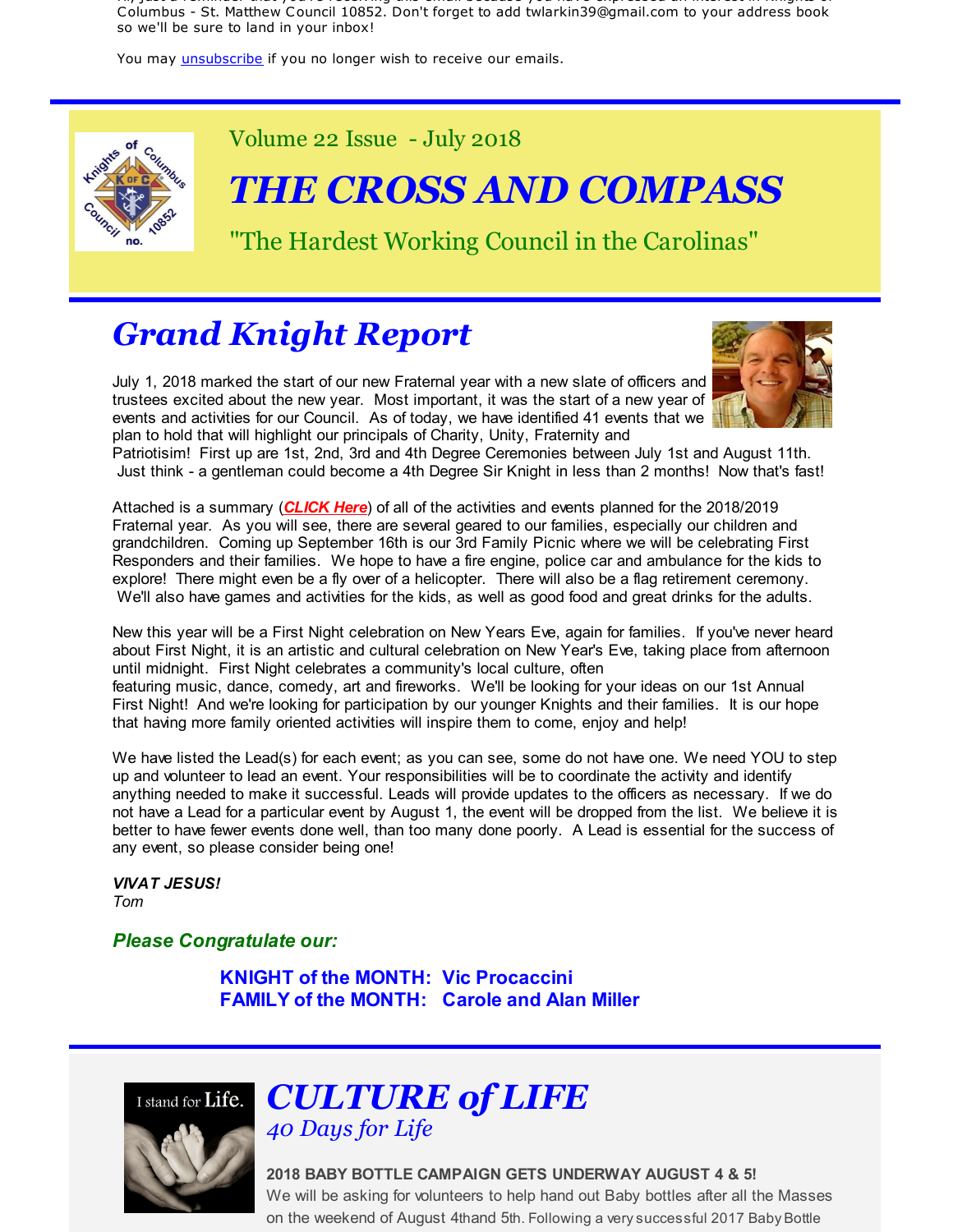Hi, just a reminder that you're receiving this email because you have expressed an interest in Knights of Columbus - St. Matthew Council 10852. Don't forget to add twlarkin39@gmail.com to your address book so we'll be sure to land in your inbox!

You may *unsubscribe* if you no longer wish to receive our emails.



Volume 22 Issue - July 2018

## *THE CROSS AND COMPASS*

"The Hardest Working Council in the Carolinas"

#### *Grand Knight Report*

July 1, 2018 marked the start of our new Fraternal year with a new slate of officers and trustees excited about the new year. Most important, it was the start of a new year of events and activities for our Council. As of today, we have identified 41 events that we plan to hold that will highlight our principals of Charity, Unity, Fraternity and



Patriotisim! First up are 1st, 2nd, 3rd and 4th Degree Ceremonies between July 1st and August 11th. Just think - a gentleman could become a 4th Degree Sir Knight in less than 2 months! Now that's fast!

Attached is a summary (*CLICK Here*) of all of the activities and events planned for the 2018/2019 Fraternal year. As you will see, there are several geared to our families, especially our children and grandchildren. Coming up September 16th is our 3rd Family Picnic where we will be celebrating First Responders and their families. We hope to have a fire engine, police car and ambulance for the kids to explore! There might even be a fly over of a helicopter. There will also be a flag retirement ceremony. We'll also have games and activities for the kids, as well as good food and great drinks for the adults.

New this year will be a First Night celebration on New Years Eve, again for families. If you've never heard about First Night, it is an artistic and cultural celebration on New Year's Eve, taking place from afternoon until midnight. First Night celebrates a community's local culture, often featuring music, dance, comedy, art and fireworks. We'll be looking for your ideas on our 1st Annual First Night! And we're looking for participation by our younger Knights and their families. It is our hope that having more family oriented activities will inspire them to come, enjoy and help!

We have listed the Lead(s) for each event; as you can see, some do not have one. We need YOU to step up and volunteer to lead an event. Your responsibilities will be to coordinate the activity and identify anything needed to make it successful. Leads will provide updates to the officers as necessary. If we do not have a Lead for a particular event by August 1, the event will be dropped from the list. We believe it is better to have fewer events done well, than too many done poorly. A Lead is essential for the success of any event, so please consider being one!

*VIVAT JESUS! Tom*

*Please Congratulate our:*

**KNIGHT of the MONTH: Vic Procaccini FAMILY of the MONTH: Carole and Alan Miller**



#### *CULTURE of LIFE 40 Days for Life*

#### **2018 BABY BOTTLE CAMPAIGN GETS UNDERWAY AUGUST 4 & 5!**

We will be asking for volunteers to help hand out Baby bottles after all the Masses on the weekend of August 4thand 5th. Following a very successful 2017 Baby Bottle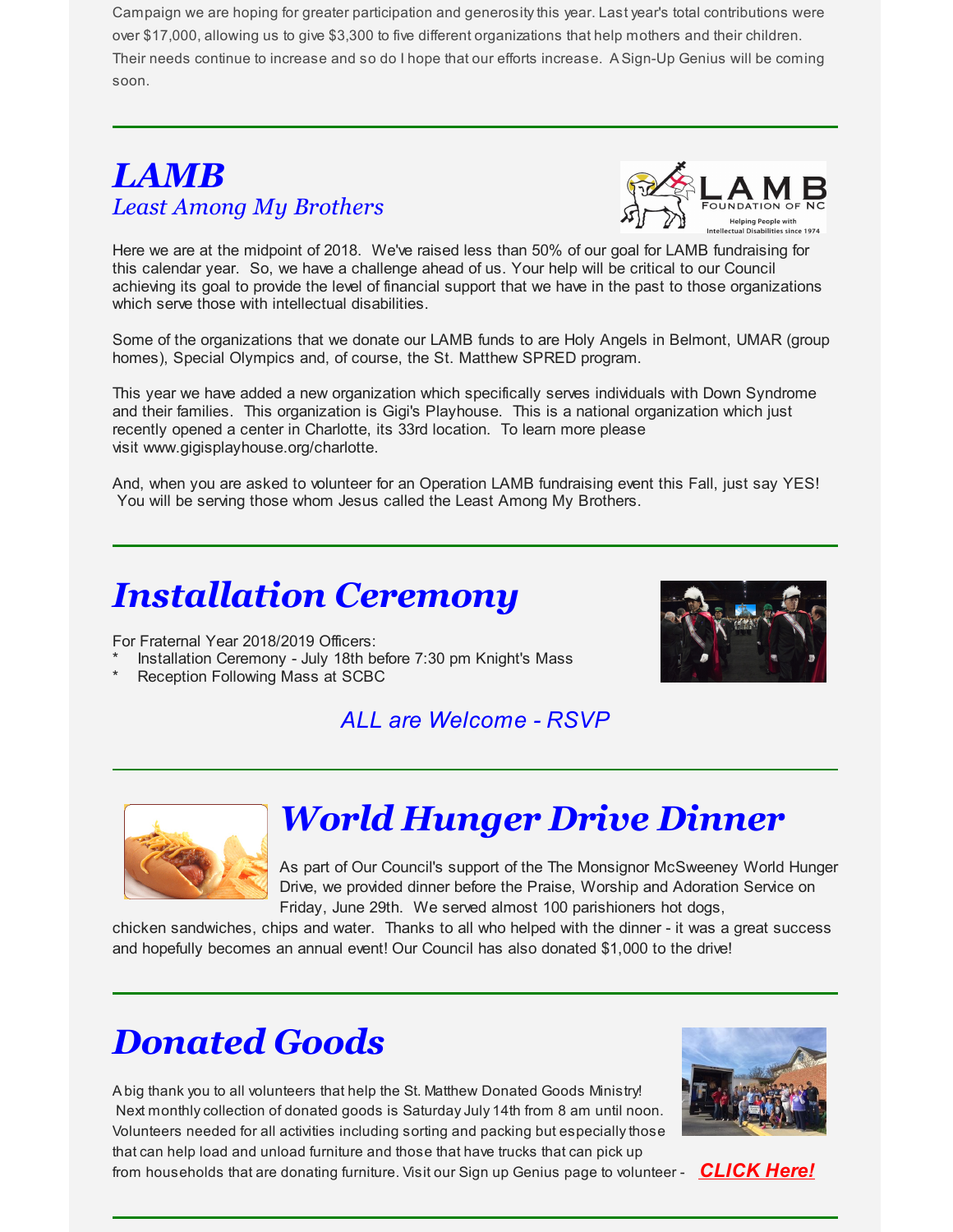Campaign we are hoping for greater participation and generosity this year. Last year's total contributions were over \$17,000, allowing us to give \$3,300 to five different organizations that help mothers and their children. Their needs continue to increase and so do I hope that our efforts increase. ASign-Up Genius will be coming soon.

#### *LAMB Least Among My Brothers*



Here we are at the midpoint of 2018. We've raised less than 50% of our goal for LAMB fundraising for this calendar year. So, we have a challenge ahead of us. Your help will be critical to our Council achieving its goal to provide the level of financial support that we have in the past to those organizations which serve those with intellectual disabilities.

Some of the organizations that we donate our LAMB funds to are Holy Angels in Belmont, UMAR (group homes), Special Olympics and, of course, the St. Matthew SPRED program.

This year we have added a new organization which specifically serves individuals with Down Syndrome and their families. This organization is Gigi's Playhouse. This is a national organization which just recently opened a center in Charlotte, its 33rd location. To learn more please visit www.gigisplayhouse.org/charlotte.

And, when you are asked to volunteer for an Operation LAMB fundraising event this Fall, just say YES! You will be serving those whom Jesus called the Least Among My Brothers.

### *Installation Ceremony*

For Fraternal Year 2018/2019 Officers:

Installation Ceremony - July 18th before 7:30 pm Knight's Mass

Reception Following Mass at SCBC



#### *ALL are Welcome - RSVP*



### *World Hunger Drive Dinner*

As part of Our Council's support of the The Monsignor McSweeney World Hunger Drive, we provided dinner before the Praise, Worship and Adoration Service on Friday, June 29th. We served almost 100 parishioners hot dogs,

chicken sandwiches, chips and water. Thanks to all who helped with the dinner - it was a great success and hopefully becomes an annual event! Our Council has also donated \$1,000 to the drive!

## *Donated Goods*

Abig thank you to all volunteers that help the St. Matthew Donated Goods Ministry! Next monthly collection of donated goods is Saturday July 14th from 8 am until noon. Volunteers needed for all activities including sorting and packing but especially those that can help load and unload furniture and those that have trucks that can pick up from households that are donating furniture. Visit our Sign up Genius page to volunteer - *CLICK Here!*

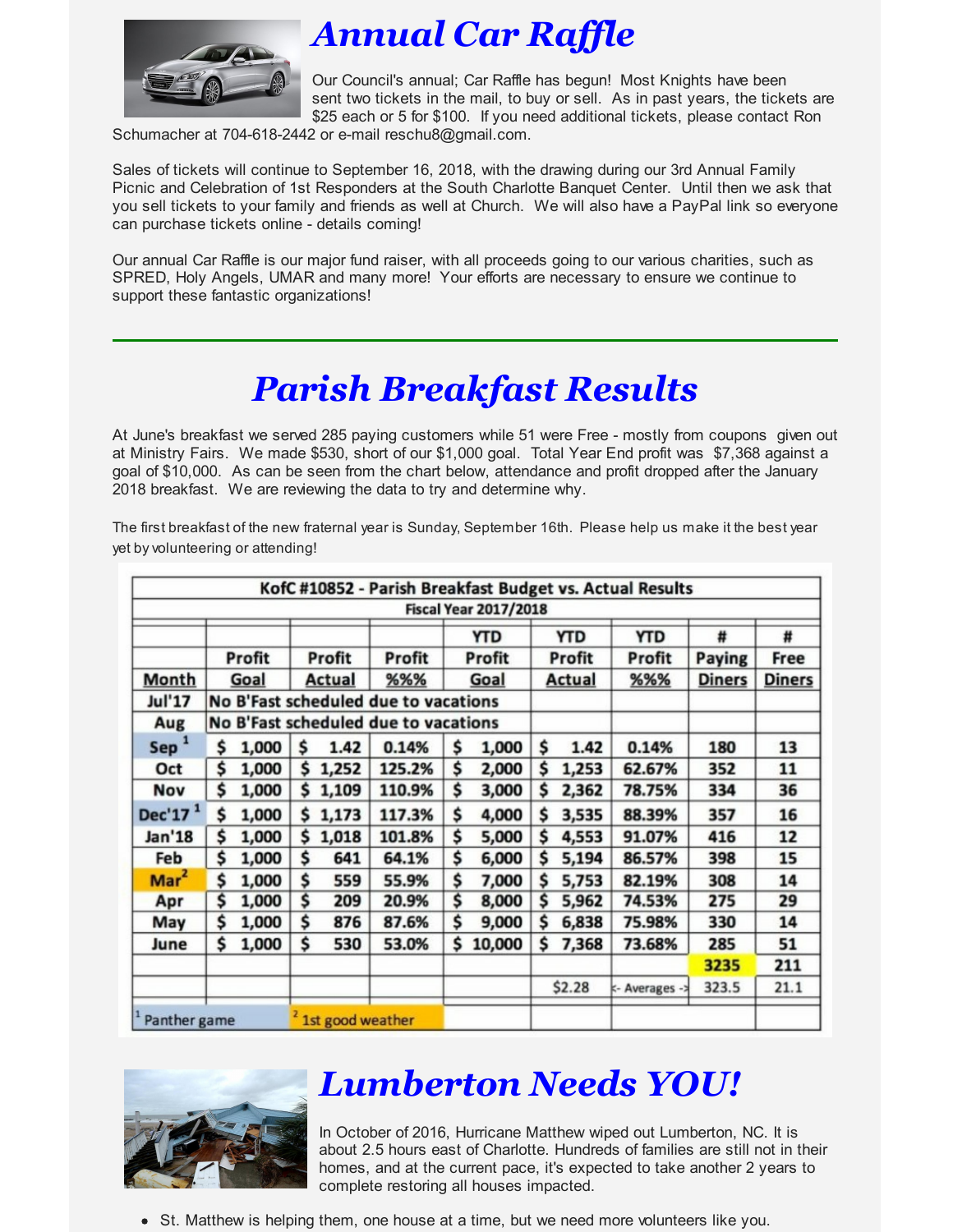

## *Annual Car Raffle*

Our Council's annual; Car Raffle has begun! Most Knights have been sent two tickets in the mail, to buy or sell. As in past years, the tickets are \$25 each or 5 for \$100. If you need additional tickets, please contact Ron

Schumacher at 704-618-2442 or e-mail reschu8@gmail.com.

Sales of tickets will continue to September 16, 2018, with the drawing during our 3rd Annual Family Picnic and Celebration of 1st Responders at the South Charlotte Banquet Center. Until then we ask that you sell tickets to your family and friends as well at Church. We will also have a PayPal link so everyone can purchase tickets online - details coming!

Our annual Car Raffle is our major fund raiser, with all proceeds going to our various charities, such as SPRED, Holy Angels, UMAR and many more! Your efforts are necessary to ensure we continue to support these fantastic organizations!

## *Parish Breakfast Results*

At June's breakfast we served 285 paying customers while 51 were Free - mostly from coupons given out at Ministry Fairs. We made \$530, short of our \$1,000 goal. Total Year End profit was \$7,368 against a goal of \$10,000. As can be seen from the chart below, attendance and profit dropped after the January 2018 breakfast. We are reviewing the data to try and determine why.

The first breakfast of the new fraternal year is Sunday, September 16th. Please help us make it the best year yet by volunteering or attending!

|                  |                                      |       |                  |               |             |               |                              |        |            | KofC #10852 - Parish Breakfast Budget vs. Actual Results |               |      |
|------------------|--------------------------------------|-------|------------------|---------------|-------------|---------------|------------------------------|--------|------------|----------------------------------------------------------|---------------|------|
|                  |                                      |       |                  |               |             |               | <b>Fiscal Year 2017/2018</b> |        |            |                                                          |               |      |
|                  |                                      |       |                  |               |             |               | <b>YTD</b>                   |        | <b>YTD</b> | <b>YTD</b>                                               | #             | #    |
|                  | Profit                               |       | Profit           |               | Profit      | <b>Profit</b> |                              | Profit |            | Profit                                                   | Paying        | Free |
| <b>Month</b>     | Goal                                 |       |                  | <b>Actual</b> | %%%<br>Goal |               | <b>Actual</b>                |        | %%%        | <b>Diners</b>                                            | <b>Diners</b> |      |
| <b>Jul'17</b>    | No B'Fast scheduled due to vacations |       |                  |               |             |               |                              |        |            |                                                          |               |      |
| Aug              | No B'Fast scheduled due to vacations |       |                  |               |             |               |                              |        |            |                                                          |               |      |
| Sep <sup>1</sup> | \$                                   | 1,000 | \$               | 1.42          | 0.14%       | \$            | 1,000                        | \$     | 1.42       | 0.14%                                                    | 180           | 13   |
| Oct              | \$                                   | 1,000 | \$               | 1,252         | 125.2%      | \$            | 2,000                        | \$     | 1,253      | 62.67%                                                   | 352           | 11   |
| Nov              | \$                                   | 1,000 | \$               | 1,109         | 110.9%      | \$            | 3,000                        | \$     | 2,362      | 78.75%                                                   | 334           | 36   |
| Dec'17 $1$       | \$                                   | 1,000 | \$               | 1,173         | 117.3%      | \$            | 4,000                        | \$     | 3,535      | 88.39%                                                   | 357           | 16   |
| Jan'18           | \$                                   | 1,000 | \$               | 1,018         | 101.8%      | \$            | 5,000                        | \$     | 4,553      | 91.07%                                                   | 416           | 12   |
| Feb              | \$                                   | 1,000 | \$               | 641           | 64.1%       | \$            | 6,000                        | \$     | 5,194      | 86.57%                                                   | 398           | 15   |
| Mar <sup>2</sup> | \$                                   | 1,000 | \$               | 559           | 55.9%       | \$            | 7,000                        | \$     | 5,753      | 82.19%                                                   | 308           | 14   |
| Apr              | \$                                   | 1,000 | \$               | 209           | 20.9%       | \$            | 8,000                        | \$     | 5,962      | 74.53%                                                   | 275           | 29   |
| May              | \$                                   | 1,000 | \$               | 876           | 87.6%       | \$            | 9,000                        | \$     | 6,838      | 75.98%                                                   | 330           | 14   |
| June             | \$                                   | 1,000 | \$               | 530           | 53.0%       | \$            | 10,000                       | \$     | 7,368      | 73.68%                                                   | 285           | 51   |
|                  |                                      |       |                  |               |             |               |                              |        |            |                                                          | 3235          | 211  |
|                  |                                      |       |                  |               |             |               |                              |        | \$2.28     | k- Averages -                                            | 323.5         | 21.1 |
| Panther game     |                                      |       | 1st good weather |               |             |               |                              |        |            |                                                          |               |      |



#### *Lumberton Needs YOU!*

In October of 2016, Hurricane Matthew wiped out Lumberton, NC. It is about 2.5 hours east of Charlotte. Hundreds of families are still not in their homes, and at the current pace, it's expected to take another 2 years to complete restoring all houses impacted.

• St. Matthew is helping them, one house at a time, but we need more volunteers like you.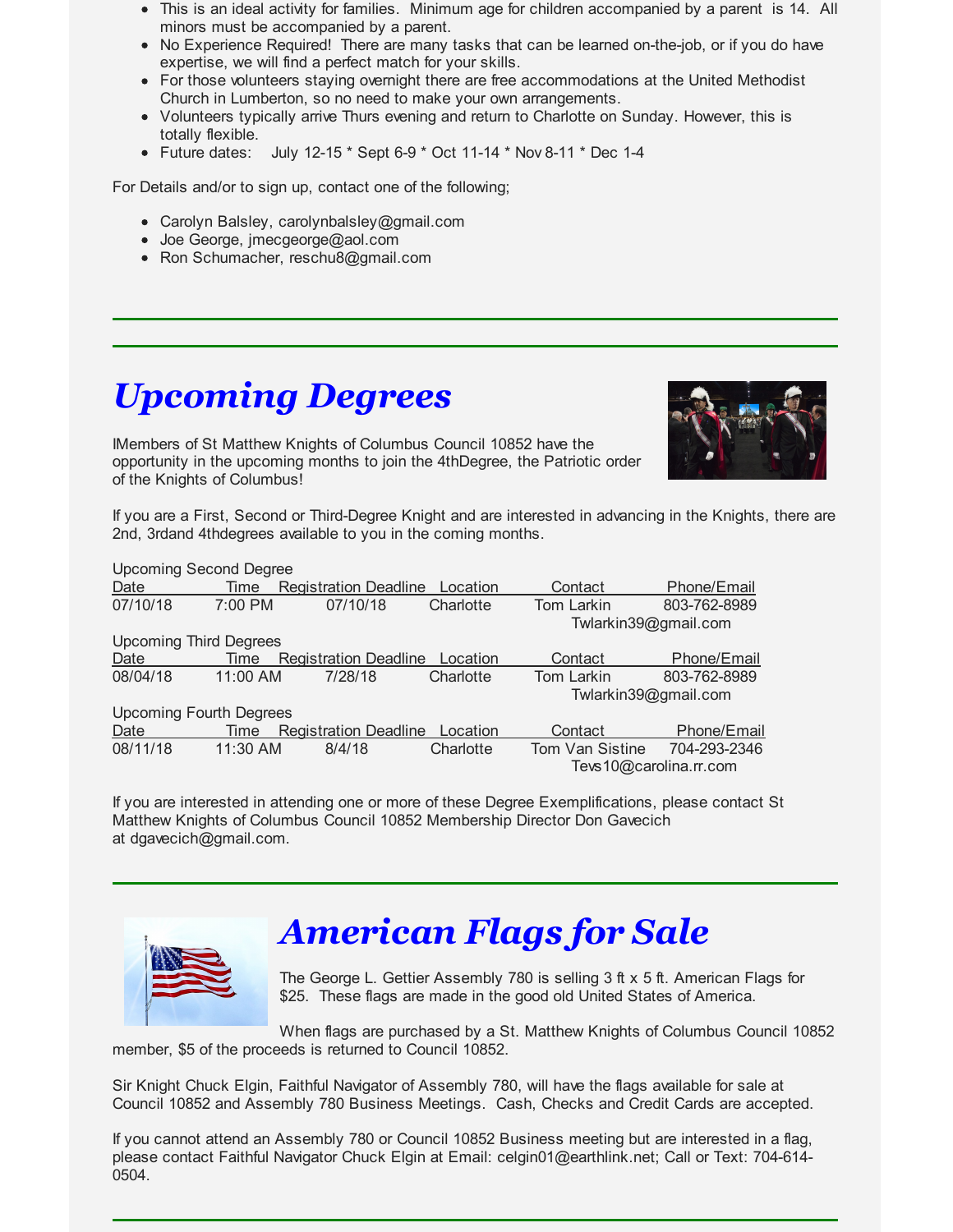- This is an ideal activity for families. Minimum age for children accompanied by a parent is 14. All minors must be accompanied by a parent.
- No Experience Required! There are many tasks that can be learned on-the-job, or if you do have expertise, we will find a perfect match for your skills.
- For those volunteers staying overnight there are free accommodations at the United Methodist Church in Lumberton, so no need to make your own arrangements.
- Volunteers typically arrive Thurs evening and return to Charlotte on Sunday. However, this is totally flexible.
- Future dates: July 12-15  $*$  Sept 6-9  $*$  Oct 11-14  $*$  Nov 8-11  $*$  Dec 1-4

For Details and/or to sign up, contact one of the following;

- Carolyn Balsley, carolynbalsley@gmail.com
- Joe George, jmecgeorge@aol.com
- Ron Schumacher, reschu8@gmail.com

### *Upcoming Degrees*

IMembers of St Matthew Knights of Columbus Council 10852 have the opportunity in the upcoming months to join the 4thDegree, the Patriotic order of the Knights of Columbus!



If you are a First, Second or Third-Degree Knight and are interested in advancing in the Knights, there are 2nd, 3rdand 4thdegrees available to you in the coming months.

| <b>Upcoming Second Degree</b>  |           |                              |           |                      |                        |
|--------------------------------|-----------|------------------------------|-----------|----------------------|------------------------|
| Date                           | Time      | <b>Registration Deadline</b> | Location  | Contact              | Phone/Email            |
| 07/10/18                       | $7:00$ PM | 07/10/18                     | Charlotte | Tom Larkin           | 803-762-8989           |
|                                |           |                              |           | Twlarkin39@gmail.com |                        |
| <b>Upcoming Third Degrees</b>  |           |                              |           |                      |                        |
| Date                           | Time      | <b>Registration Deadline</b> | Location  | Contact              | Phone/Email            |
| 08/04/18                       | 11:00 AM  | 7/28/18                      | Charlotte | Tom Larkin           | 803-762-8989           |
|                                |           |                              |           | Twlarkin39@gmail.com |                        |
| <b>Upcoming Fourth Degrees</b> |           |                              |           |                      |                        |
| Date                           | Time      | <b>Registration Deadline</b> | Location  | Contact              | Phone/Email            |
| 08/11/18                       | 11:30 AM  | 8/4/18                       | Charlotte | Tom Van Sistine      | 704-293-2346           |
|                                |           |                              |           |                      | Tevs10@carolina.rr.com |

If you are interested in attending one or more of these Degree Exemplifications, please contact St Matthew Knights of Columbus Council 10852 Membership Director Don Gavecich at dgavecich@gmail.com.



#### *American Flags for Sale*

The George L. Gettier Assembly 780 is selling 3 ft x 5 ft. American Flags for \$25. These flags are made in the good old United States of America.

When flags are purchased by a St. Matthew Knights of Columbus Council 10852 member, \$5 of the proceeds is returned to Council 10852.

Sir Knight Chuck Elgin, Faithful Navigator of Assembly 780, will have the flags available for sale at Council 10852 and Assembly 780 Business Meetings. Cash, Checks and Credit Cards are accepted.

If you cannot attend an Assembly 780 or Council 10852 Business meeting but are interested in a flag, please contact Faithful Navigator Chuck Elgin at Email: celgin01@earthlink.net; Call or Text: 704-614- 0504.